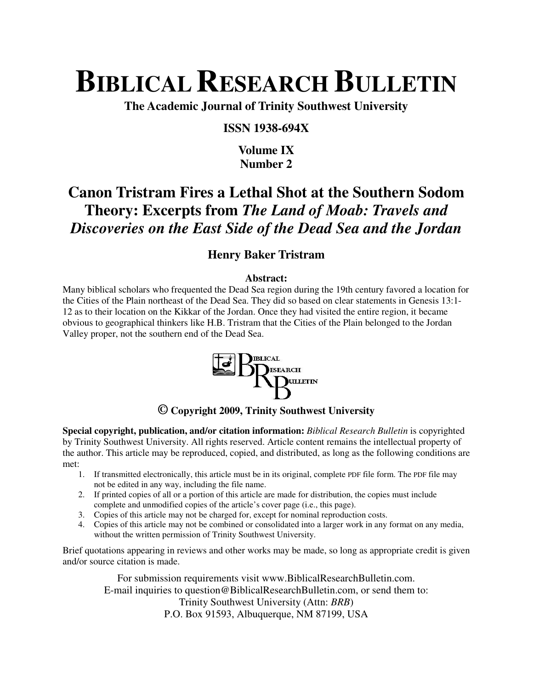# **BIBLICAL RESEARCH BULLETIN**

**The Academic Journal of Trinity Southwest University** 

#### **ISSN 1938-694X**

## **Volume IX Number 2**

## **Canon Tristram Fires a Lethal Shot at the Southern Sodom Theory: Excerpts from** *The Land of Moab: Travels and Discoveries on the East Side of the Dead Sea and the Jordan*

## **Henry Baker Tristram**

#### **Abstract:**

Many biblical scholars who frequented the Dead Sea region during the 19th century favored a location for the Cities of the Plain northeast of the Dead Sea. They did so based on clear statements in Genesis 13:1- 12 as to their location on the Kikkar of the Jordan. Once they had visited the entire region, it became obvious to geographical thinkers like H.B. Tristram that the Cities of the Plain belonged to the Jordan Valley proper, not the southern end of the Dead Sea.



#### **© Copyright 2009, Trinity Southwest University**

**Special copyright, publication, and/or citation information:** *Biblical Research Bulletin* is copyrighted by Trinity Southwest University. All rights reserved. Article content remains the intellectual property of the author. This article may be reproduced, copied, and distributed, as long as the following conditions are met:

- 1. If transmitted electronically, this article must be in its original, complete PDF file form. The PDF file may not be edited in any way, including the file name.
- 2. If printed copies of all or a portion of this article are made for distribution, the copies must include complete and unmodified copies of the article's cover page (i.e., this page).
- 3. Copies of this article may not be charged for, except for nominal reproduction costs.
- 4. Copies of this article may not be combined or consolidated into a larger work in any format on any media, without the written permission of Trinity Southwest University.

Brief quotations appearing in reviews and other works may be made, so long as appropriate credit is given and/or source citation is made.

For submission requirements visit www.BiblicalResearchBulletin.com. E-mail inquiries to question@BiblicalResearchBulletin.com, or send them to: Trinity Southwest University (Attn: *BRB*) P.O. Box 91593, Albuquerque, NM 87199, USA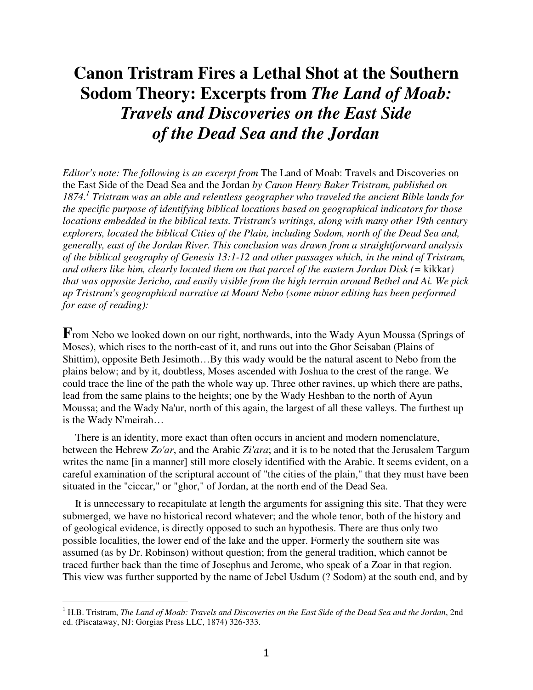# **Canon Tristram Fires a Lethal Shot at the Southern Sodom Theory: Excerpts from** *The Land of Moab: Travels and Discoveries on the East Side of the Dead Sea and the Jordan*

*Editor's note: The following is an excerpt from* The Land of Moab: Travels and Discoveries on the East Side of the Dead Sea and the Jordan *by Canon Henry Baker Tristram, published on 1874.<sup>1</sup> Tristram was an able and relentless geographer who traveled the ancient Bible lands for the specific purpose of identifying biblical locations based on geographical indicators for those locations embedded in the biblical texts. Tristram's writings, along with many other 19th century explorers, located the biblical Cities of the Plain, including Sodom, north of the Dead Sea and, generally, east of the Jordan River. This conclusion was drawn from a straightforward analysis of the biblical geography of Genesis 13:1-12 and other passages which, in the mind of Tristram, and others like him, clearly located them on that parcel of the eastern Jordan Disk (=* kikkar*) that was opposite Jericho, and easily visible from the high terrain around Bethel and Ai. We pick up Tristram's geographical narrative at Mount Nebo (some minor editing has been performed for ease of reading):*

**F**rom Nebo we looked down on our right, northwards, into the Wady Ayun Moussa (Springs of Moses), which rises to the north-east of it, and runs out into the Ghor Seisaban (Plains of Shittim), opposite Beth Jesimoth…By this wady would be the natural ascent to Nebo from the plains below; and by it, doubtless, Moses ascended with Joshua to the crest of the range. We could trace the line of the path the whole way up. Three other ravines, up which there are paths, lead from the same plains to the heights; one by the Wady Heshban to the north of Ayun Moussa; and the Wady Na'ur, north of this again, the largest of all these valleys. The furthest up is the Wady N'meirah…

There is an identity, more exact than often occurs in ancient and modern nomenclature, between the Hebrew *Zo'ar*, and the Arabic *Zi'ara*; and it is to be noted that the Jerusalem Targum writes the name [in a manner] still more closely identified with the Arabic. It seems evident, on a careful examination of the scriptural account of "the cities of the plain," that they must have been situated in the "ciccar," or "ghor," of Jordan, at the north end of the Dead Sea.

It is unnecessary to recapitulate at length the arguments for assigning this site. That they were submerged, we have no historical record whatever; and the whole tenor, both of the history and of geological evidence, is directly opposed to such an hypothesis. There are thus only two possible localities, the lower end of the lake and the upper. Formerly the southern site was assumed (as by Dr. Robinson) without question; from the general tradition, which cannot be traced further back than the time of Josephus and Jerome, who speak of a Zoar in that region. This view was further supported by the name of Jebel Usdum (? Sodom) at the south end, and by

l

<sup>1</sup> H.B. Tristram, *The Land of Moab: Travels and Discoveries on the East Side of the Dead Sea and the Jordan*, 2nd ed. (Piscataway, NJ: Gorgias Press LLC, 1874) 326-333.